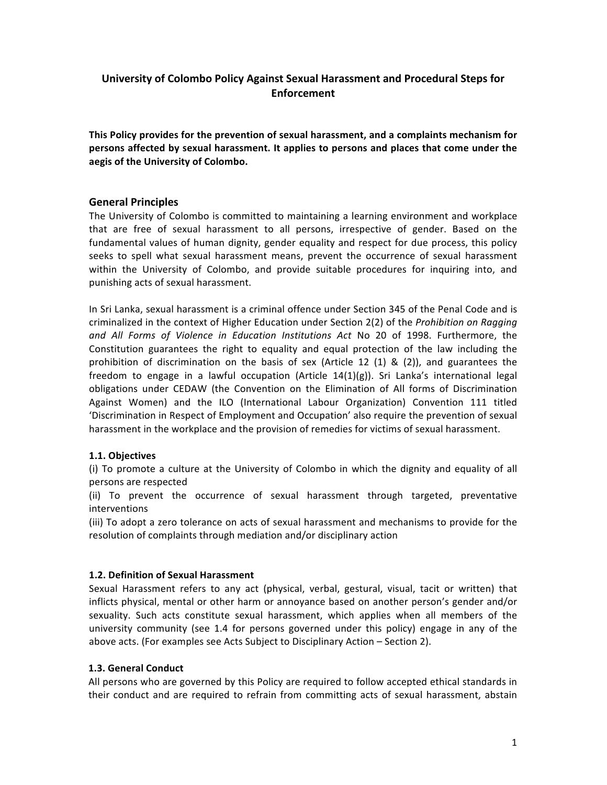# **University of Colombo Policy Against Sexual Harassment and Procedural Steps for Enforcement**

This Policy provides for the prevention of sexual harassment, and a complaints mechanism for persons affected by sexual harassment. It applies to persons and places that come under the aegis of the University of Colombo.

## **General Principles**

The University of Colombo is committed to maintaining a learning environment and workplace that are free of sexual harassment to all persons, irrespective of gender. Based on the fundamental values of human dignity, gender equality and respect for due process, this policy seeks to spell what sexual harassment means, prevent the occurrence of sexual harassment within the University of Colombo, and provide suitable procedures for inquiring into, and punishing acts of sexual harassment.

In Sri Lanka, sexual harassment is a criminal offence under Section 345 of the Penal Code and is criminalized in the context of Higher Education under Section 2(2) of the *Prohibition on Ragging* and All Forms of Violence in Education Institutions Act No 20 of 1998. Furthermore, the Constitution guarantees the right to equality and equal protection of the law including the prohibition of discrimination on the basis of sex (Article 12 (1) & (2)), and guarantees the freedom to engage in a lawful occupation (Article  $14(1)(g)$ ). Sri Lanka's international legal obligations under CEDAW (the Convention on the Elimination of All forms of Discrimination Against Women) and the ILO (International Labour Organization) Convention 111 titled 'Discrimination in Respect of Employment and Occupation' also require the prevention of sexual harassment in the workplace and the provision of remedies for victims of sexual harassment.

#### **1.1. Objectives**

(i) To promote a culture at the University of Colombo in which the dignity and equality of all persons are respected

(ii) To prevent the occurrence of sexual harassment through targeted, preventative interventions

(iii) To adopt a zero tolerance on acts of sexual harassment and mechanisms to provide for the resolution of complaints through mediation and/or disciplinary action

#### **1.2. Definition of Sexual Harassment**

Sexual Harassment refers to any act (physical, verbal, gestural, visual, tacit or written) that inflicts physical, mental or other harm or annoyance based on another person's gender and/or sexuality. Such acts constitute sexual harassment, which applies when all members of the university community (see 1.4 for persons governed under this policy) engage in any of the above acts. (For examples see Acts Subject to Disciplinary Action – Section 2).

#### **1.3. General Conduct**

All persons who are governed by this Policy are required to follow accepted ethical standards in their conduct and are required to refrain from committing acts of sexual harassment, abstain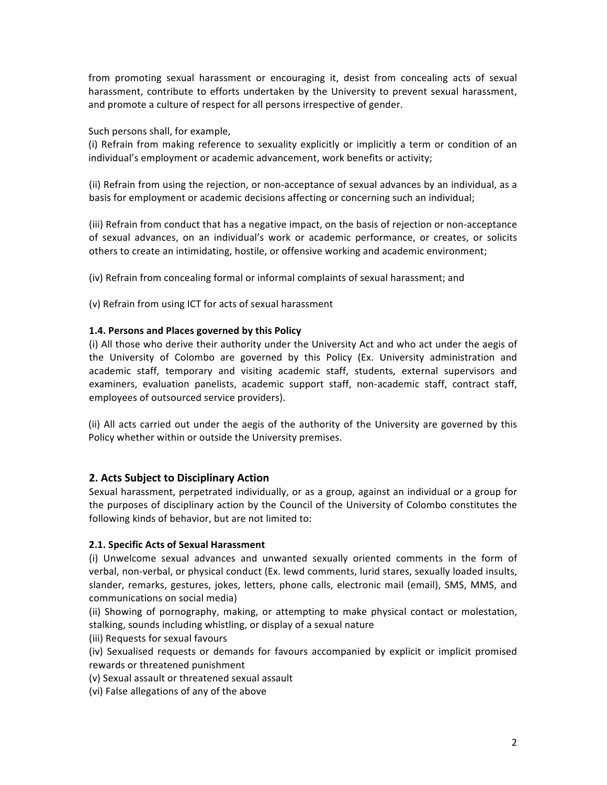from promoting sexual harassment or encouraging it, desist from concealing acts of sexual harassment, contribute to efforts undertaken by the University to prevent sexual harassment, and promote a culture of respect for all persons irrespective of gender.

Such persons shall, for example,

(i) Refrain from making reference to sexuality explicitly or implicitly a term or condition of an individual's employment or academic advancement, work benefits or activity;

(ii) Refrain from using the rejection, or non-acceptance of sexual advances by an individual, as a basis for employment or academic decisions affecting or concerning such an individual;

(iii) Refrain from conduct that has a negative impact, on the basis of rejection or non-acceptance of sexual advances, on an individual's work or academic performance, or creates, or solicits others to create an intimidating, hostile, or offensive working and academic environment;

(iv) Refrain from concealing formal or informal complaints of sexual harassment; and

(v) Refrain from using ICT for acts of sexual harassment

## 1.4. Persons and Places governed by this Policy

(i) All those who derive their authority under the University Act and who act under the aegis of the University of Colombo are governed by this Policy (Ex. University administration and academic staff, temporary and visiting academic staff, students, external supervisors and examiners, evaluation panelists, academic support staff, non-academic staff, contract staff, employees of outsourced service providers).

(ii) All acts carried out under the aegis of the authority of the University are governed by this Policy whether within or outside the University premises.

## **2. Acts Subject to Disciplinary Action**

Sexual harassment, perpetrated individually, or as a group, against an individual or a group for the purposes of disciplinary action by the Council of the University of Colombo constitutes the following kinds of behavior, but are not limited to:

#### **2.1. Specific Acts of Sexual Harassment**

(i) Unwelcome sexual advances and unwanted sexually oriented comments in the form of verbal, non-verbal, or physical conduct (Ex. lewd comments, lurid stares, sexually loaded insults, slander, remarks, gestures, jokes, letters, phone calls, electronic mail (email), SMS, MMS, and communications on social media)

(ii) Showing of pornography, making, or attempting to make physical contact or molestation, stalking, sounds including whistling, or display of a sexual nature

(iii) Requests for sexual favours

(iv) Sexualised requests or demands for favours accompanied by explicit or implicit promised rewards or threatened punishment

(v) Sexual assault or threatened sexual assault

(vi) False allegations of any of the above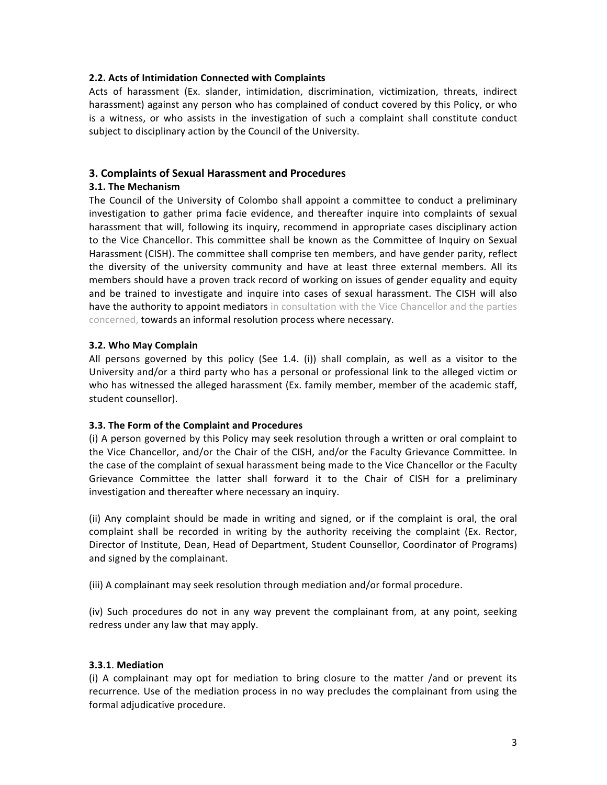#### **2.2. Acts of Intimidation Connected with Complaints**

Acts of harassment (Ex. slander, intimidation, discrimination, victimization, threats, indirect harassment) against any person who has complained of conduct covered by this Policy, or who is a witness, or who assists in the investigation of such a complaint shall constitute conduct subject to disciplinary action by the Council of the University.

## **3. Complaints of Sexual Harassment and Procedures**

#### **3.1. The Mechanism**

The Council of the University of Colombo shall appoint a committee to conduct a preliminary investigation to gather prima facie evidence, and thereafter inquire into complaints of sexual harassment that will, following its inquiry, recommend in appropriate cases disciplinary action to the Vice Chancellor. This committee shall be known as the Committee of Inquiry on Sexual Harassment (CISH). The committee shall comprise ten members, and have gender parity, reflect the diversity of the university community and have at least three external members. All its members should have a proven track record of working on issues of gender equality and equity and be trained to investigate and inquire into cases of sexual harassment. The CISH will also have the authority to appoint mediators in consultation with the Vice Chancellor and the parties concerned, towards an informal resolution process where necessary.

#### **3.2. Who May Complain**

All persons governed by this policy (See 1.4. (i)) shall complain, as well as a visitor to the University and/or a third party who has a personal or professional link to the alleged victim or who has witnessed the alleged harassment (Ex. family member, member of the academic staff, student counsellor).

### **3.3.** The Form of the Complaint and Procedures

(i) A person governed by this Policy may seek resolution through a written or oral complaint to the Vice Chancellor, and/or the Chair of the CISH, and/or the Faculty Grievance Committee. In the case of the complaint of sexual harassment being made to the Vice Chancellor or the Faculty Grievance Committee the latter shall forward it to the Chair of CISH for a preliminary investigation and thereafter where necessary an inquiry.

(ii) Any complaint should be made in writing and signed, or if the complaint is oral, the oral complaint shall be recorded in writing by the authority receiving the complaint (Ex. Rector, Director of Institute, Dean, Head of Department, Student Counsellor, Coordinator of Programs) and signed by the complainant.

(iii) A complainant may seek resolution through mediation and/or formal procedure.

(iv) Such procedures do not in any way prevent the complainant from, at any point, seeking redress under any law that may apply.

#### **3.3.1**. **Mediation**

(i) A complainant may opt for mediation to bring closure to the matter /and or prevent its recurrence. Use of the mediation process in no way precludes the complainant from using the formal adjudicative procedure.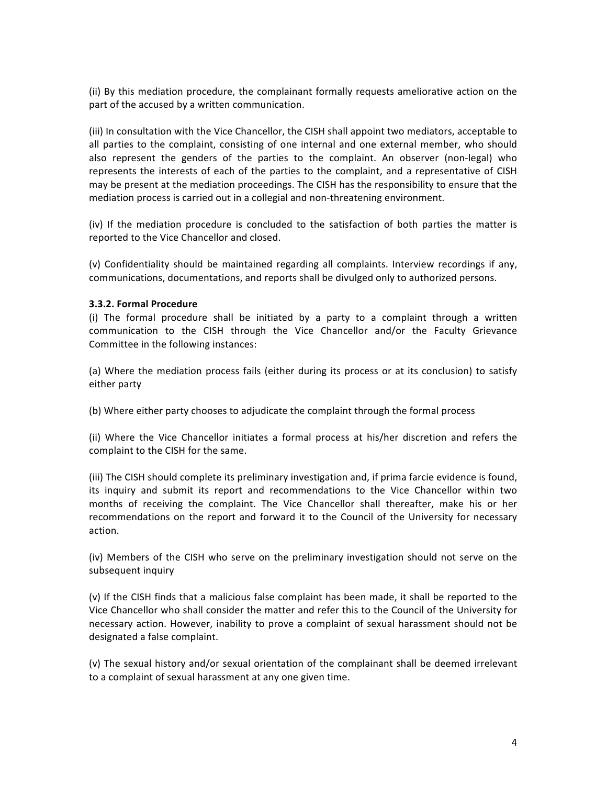(ii) By this mediation procedure, the complainant formally requests ameliorative action on the part of the accused by a written communication.

(iii) In consultation with the Vice Chancellor, the CISH shall appoint two mediators, acceptable to all parties to the complaint, consisting of one internal and one external member, who should also represent the genders of the parties to the complaint. An observer (non-legal) who represents the interests of each of the parties to the complaint, and a representative of CISH may be present at the mediation proceedings. The CISH has the responsibility to ensure that the mediation process is carried out in a collegial and non-threatening environment.

(iv) If the mediation procedure is concluded to the satisfaction of both parties the matter is reported to the Vice Chancellor and closed.

(v) Confidentiality should be maintained regarding all complaints. Interview recordings if any, communications, documentations, and reports shall be divulged only to authorized persons.

#### **3.3.2. Formal Procedure**

(i) The formal procedure shall be initiated by a party to a complaint through a written communication to the CISH through the Vice Chancellor and/or the Faculty Grievance Committee in the following instances:

(a) Where the mediation process fails (either during its process or at its conclusion) to satisfy either party

(b) Where either party chooses to adjudicate the complaint through the formal process

(ii) Where the Vice Chancellor initiates a formal process at his/her discretion and refers the complaint to the CISH for the same.

(iii) The CISH should complete its preliminary investigation and, if prima farcie evidence is found, its inquiry and submit its report and recommendations to the Vice Chancellor within two months of receiving the complaint. The Vice Chancellor shall thereafter, make his or her recommendations on the report and forward it to the Council of the University for necessary action. 

(iv) Members of the CISH who serve on the preliminary investigation should not serve on the subsequent inquiry

(v) If the CISH finds that a malicious false complaint has been made, it shall be reported to the Vice Chancellor who shall consider the matter and refer this to the Council of the University for necessary action. However, inability to prove a complaint of sexual harassment should not be designated a false complaint.

(v) The sexual history and/or sexual orientation of the complainant shall be deemed irrelevant to a complaint of sexual harassment at any one given time.